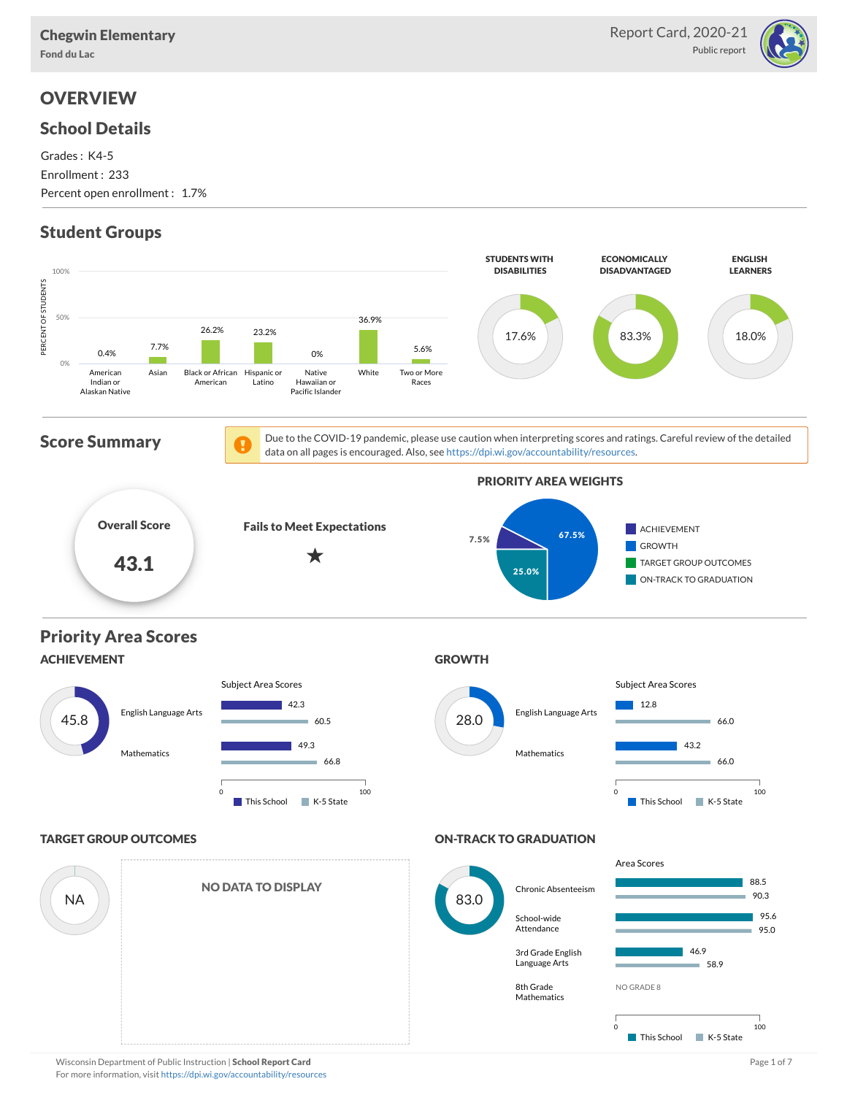

## **OVERVIEW**

#### School Details

Grades : K4-5 Enrollment : 233 Percent open enrollment : 1.7%

## Student Groups

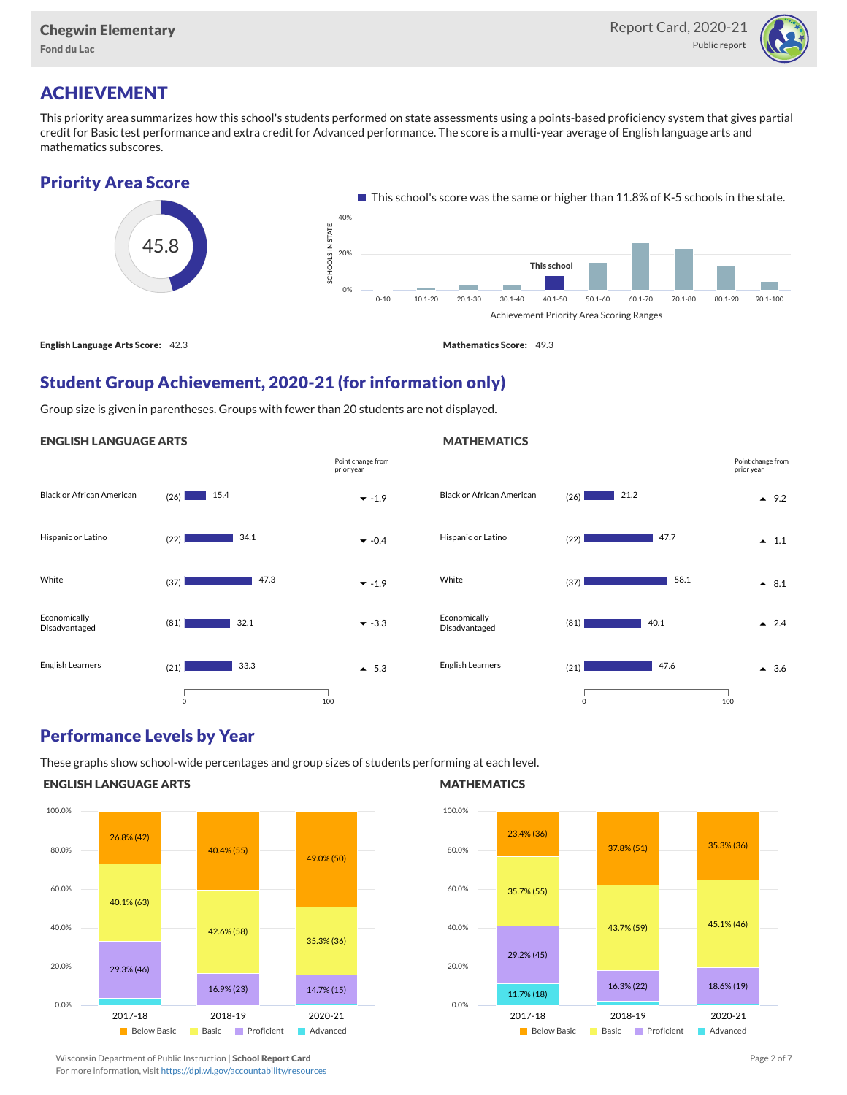

### ACHIEVEMENT

This priority area summarizes how this school's students performed on state assessments using a points-based proficiency system that gives partial credit for Basic test performance and extra credit for Advanced performance. The score is a multi-year average of English language arts and mathematics subscores.





#### Student Group Achievement, 2020-21 (for information only)

Group size is given in parentheses. Groups with fewer than 20 students are not displayed.

#### ENGLISH LANGUAGE ARTS





#### Performance Levels by Year

These graphs show school-wide percentages and group sizes of students performing at each level.

#### ENGLISH LANGUAGE ARTS



#### **MATHEMATICS**



Wisconsin Department of Public Instruction | School Report Card Page 2 of 7 and 2008 and 2009 and 2 of 7 and 2 of 7

For more information, visit <https://dpi.wi.gov/accountability/resources>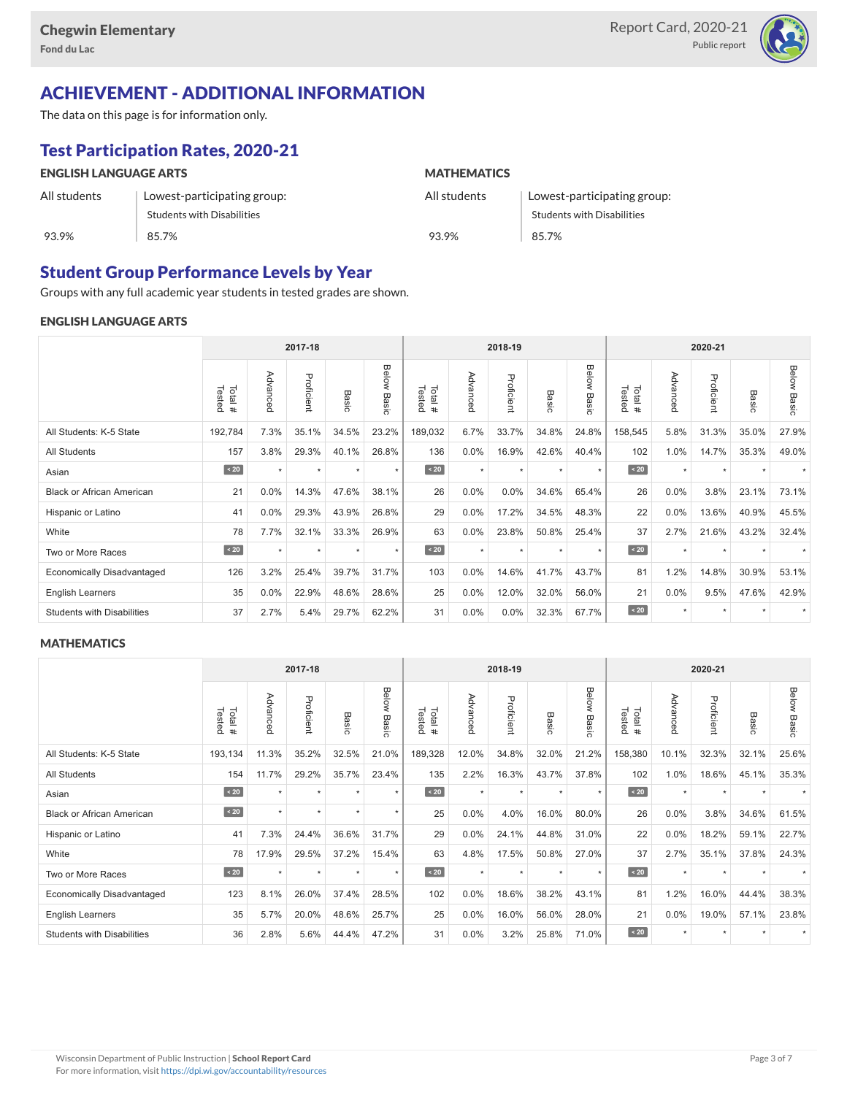

# ACHIEVEMENT - ADDITIONAL INFORMATION

The data on this page is for information only.

# Test Participation Rates, 2020-21

| <b>ENGLISH LANGUAGE ARTS</b> |                                   | <b>MATHEMATICS</b> |                                   |  |  |  |  |
|------------------------------|-----------------------------------|--------------------|-----------------------------------|--|--|--|--|
| All students                 | Lowest-participating group:       | All students       | Lowest-participating group:       |  |  |  |  |
|                              | <b>Students with Disabilities</b> |                    | <b>Students with Disabilities</b> |  |  |  |  |
| 93.9%                        | 85.7%                             | 93.9%              | 85.7%                             |  |  |  |  |

#### Student Group Performance Levels by Year

Groups with any full academic year students in tested grades are shown.

#### ENGLISH LANGUAGE ARTS

|                                   |                  |          | 2017-18    |               |                |                  |          | 2018-19<br>2020-21 |                 |                |                  |          |            |           |                    |
|-----------------------------------|------------------|----------|------------|---------------|----------------|------------------|----------|--------------------|-----------------|----------------|------------------|----------|------------|-----------|--------------------|
|                                   | Tested<br>Total# | Advanced | Proficient | Basic         | Below<br>Basic | Tested<br>Total# | Advanced | Proficient         | Basi<br>$\circ$ | Below<br>Basic | Tested<br>Total# | Advanced | Proficient | Basic     | <b>Below Basic</b> |
| All Students: K-5 State           | 192,784          | 7.3%     | 35.1%      | 34.5%         | 23.2%          | 189,032          | 6.7%     | 33.7%              | 34.8%           | 24.8%          | 158,545          | 5.8%     | 31.3%      | 35.0%     | 27.9%              |
| All Students                      | 157              | 3.8%     | 29.3%      | 40.1%         | 26.8%          | 136              | 0.0%     | 16.9%              | 42.6%           | 40.4%          | 102              | 1.0%     | 14.7%      | 35.3%     | 49.0%              |
| Asian                             | $\sim 20$        |          | $\star$    | $\rightarrow$ | $\star$        | $\sim 20$        | $\star$  | $\star$            |                 | ٠              | $\sim 20$        | $\star$  | ٠          |           |                    |
| <b>Black or African American</b>  | 21               | 0.0%     | 14.3%      | 47.6%         | 38.1%          | 26               | 0.0%     | 0.0%               | 34.6%           | 65.4%          | 26               | 0.0%     | 3.8%       | 23.1%     | 73.1%              |
| Hispanic or Latino                | 41               | $0.0\%$  | 29.3%      | 43.9%         | 26.8%          | 29               | 0.0%     | 17.2%              | 34.5%           | 48.3%          | 22               | 0.0%     | 13.6%      | 40.9%     | 45.5%              |
| White                             | 78               | 7.7%     | 32.1%      | 33.3%         | 26.9%          | 63               | $0.0\%$  | 23.8%              | 50.8%           | 25.4%          | 37               | 2.7%     | 21.6%      | 43.2%     | 32.4%              |
| Two or More Races                 | $\sim 20$        | $\star$  | $\star$    | $\star$       | $\star$        | $\angle 20$      | $\star$  | $\star$            | $\star$         | $\star$        | $\angle 20$      | $\star$  | $\star$    | $\ddot{}$ |                    |
| <b>Economically Disadvantaged</b> | 126              | 3.2%     | 25.4%      | 39.7%         | 31.7%          | 103              | 0.0%     | 14.6%              | 41.7%           | 43.7%          | 81               | 1.2%     | 14.8%      | 30.9%     | 53.1%              |
| <b>English Learners</b>           | 35               | 0.0%     | 22.9%      | 48.6%         | 28.6%          | 25               | 0.0%     | 12.0%              | 32.0%           | 56.0%          | 21               | 0.0%     | 9.5%       | 47.6%     | 42.9%              |
| <b>Students with Disabilities</b> | 37               | 2.7%     | 5.4%       | 29.7%         | 62.2%          | 31               | 0.0%     | 0.0%               | 32.3%           | 67.7%          | $\angle 20$      | $\star$  | $\star$    |           |                    |

#### **MATHEMATICS**

|                                   |                  |          | 2017-18    |         |                |                  |          | 2018-19    |         |                | 2020-21          |          |            |       |             |
|-----------------------------------|------------------|----------|------------|---------|----------------|------------------|----------|------------|---------|----------------|------------------|----------|------------|-------|-------------|
|                                   | Tested<br>Total# | Advanced | Proficient | Basic   | Below<br>Basic | Tested<br>Total# | Advanced | Proficient | Basic   | Below<br>Basic | Tested<br>Total# | Advanced | Proficient | Basic | Below Basic |
| All Students: K-5 State           | 193,134          | 11.3%    | 35.2%      | 32.5%   | 21.0%          | 189,328          | 12.0%    | 34.8%      | 32.0%   | 21.2%          | 158,380          | 10.1%    | 32.3%      | 32.1% | 25.6%       |
| All Students                      | 154              | 11.7%    | 29.2%      | 35.7%   | 23.4%          | 135              | 2.2%     | 16.3%      | 43.7%   | 37.8%          | 102              | 1.0%     | 18.6%      | 45.1% | 35.3%       |
| Asian                             | $\sim 20$        | $\star$  | $\star$    | $\star$ | $\star$        | $\sim 20$        | $\star$  | $\star$    | $\star$ | $\star$        | $\angle 20$      | $\star$  | $\star$    |       |             |
| <b>Black or African American</b>  | $\angle 20$      | $\star$  | $\star$    | $\star$ | $\star$        | 25               | 0.0%     | 4.0%       | 16.0%   | 80.0%          | 26               | $0.0\%$  | 3.8%       | 34.6% | 61.5%       |
| Hispanic or Latino                | 41               | 7.3%     | 24.4%      | 36.6%   | 31.7%          | 29               | 0.0%     | 24.1%      | 44.8%   | 31.0%          | 22               | 0.0%     | 18.2%      | 59.1% | 22.7%       |
| White                             | 78               | 17.9%    | 29.5%      | 37.2%   | 15.4%          | 63               | 4.8%     | 17.5%      | 50.8%   | 27.0%          | 37               | 2.7%     | 35.1%      | 37.8% | 24.3%       |
| Two or More Races                 | $\sim 20$        | $\star$  | $\star$    | $\star$ | $\star$        | $\angle 20$      | $\star$  | $\star$    | $\star$ | $\star$        | $\angle 20$      | $\star$  | $\star$    |       |             |
| Economically Disadvantaged        | 123              | 8.1%     | 26.0%      | 37.4%   | 28.5%          | 102              | 0.0%     | 18.6%      | 38.2%   | 43.1%          | 81               | 1.2%     | 16.0%      | 44.4% | 38.3%       |
| <b>English Learners</b>           | 35               | 5.7%     | 20.0%      | 48.6%   | 25.7%          | 25               | 0.0%     | 16.0%      | 56.0%   | 28.0%          | 21               | 0.0%     | 19.0%      | 57.1% | 23.8%       |
| <b>Students with Disabilities</b> | 36               | 2.8%     | 5.6%       | 44.4%   | 47.2%          | 31               | 0.0%     | 3.2%       | 25.8%   | 71.0%          | $\angle 20$      | $\star$  | $\star$    |       |             |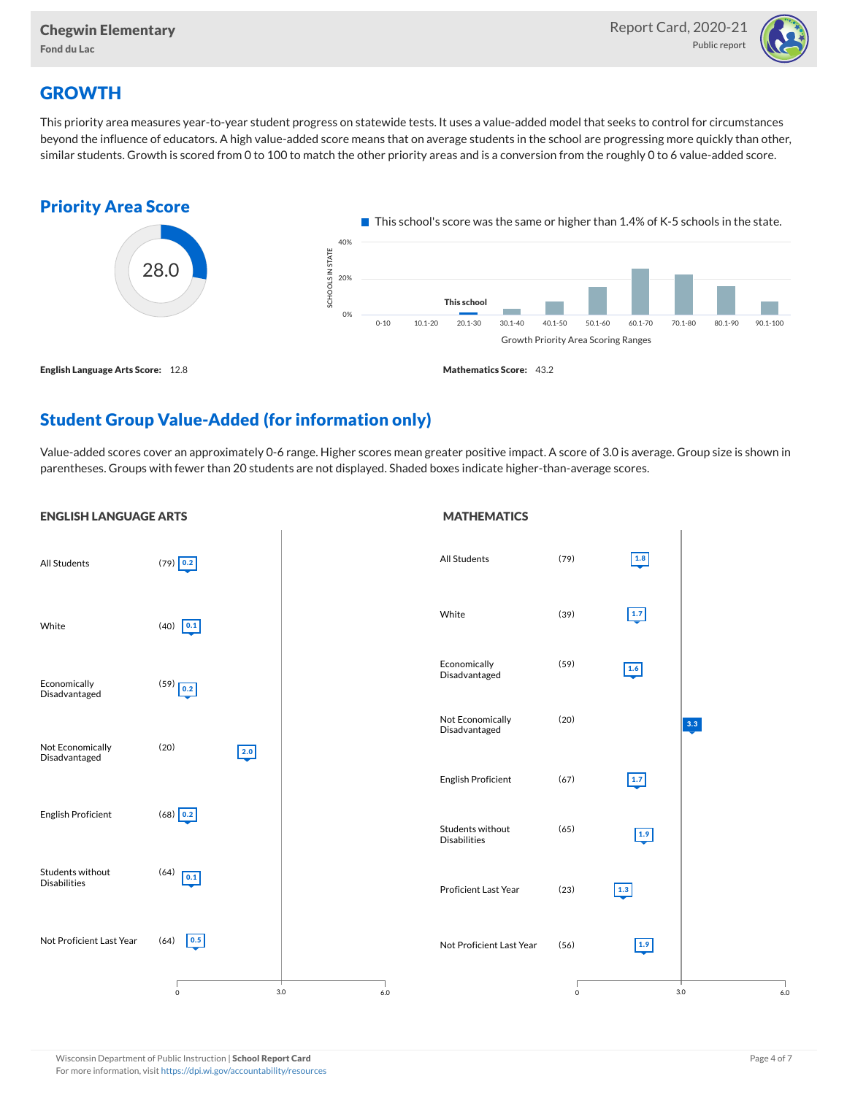

### **GROWTH**

This priority area measures year-to-year student progress on statewide tests. It uses a value-added model that seeks to control for circumstances beyond the influence of educators. A high value-added score means that on average students in the school are progressing more quickly than other, similar students. Growth is scored from 0 to 100 to match the other priority areas and is a conversion from the roughly 0 to 6 value-added score.



## Student Group Value-Added (for information only)

Value-added scores cover an approximately 0-6 range. Higher scores mean greater positive impact. A score of 3.0 is average. Group size is shown in parentheses. Groups with fewer than 20 students are not displayed. Shaded boxes indicate higher-than-average scores.

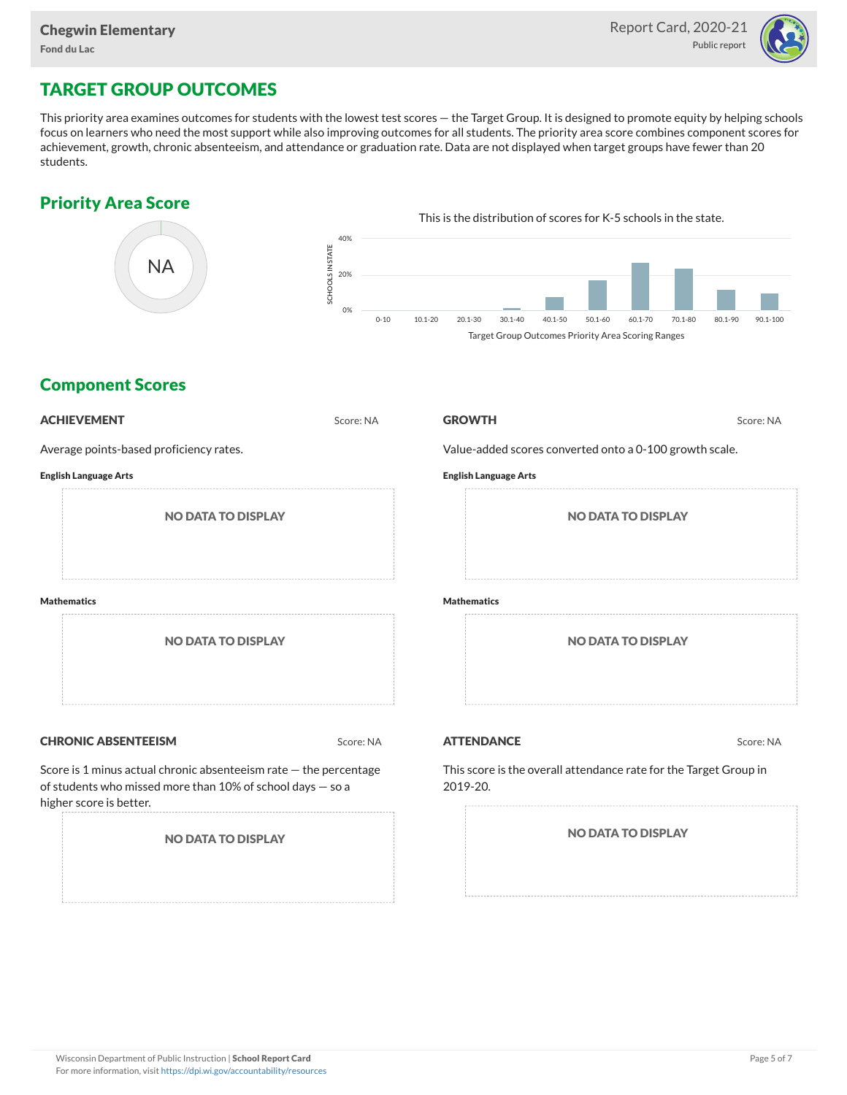

## TARGET GROUP OUTCOMES

This priority area examines outcomes for students with the lowest test scores — the Target Group. It is designed to promote equity by helping schools focus on learners who need the most support while also improving outcomes for all students. The priority area score combines component scores for achievement, growth, chronic absenteeism, and attendance or graduation rate. Data are not displayed when target groups have fewer than 20 students.

#### Priority Area Score



#### Component Scores

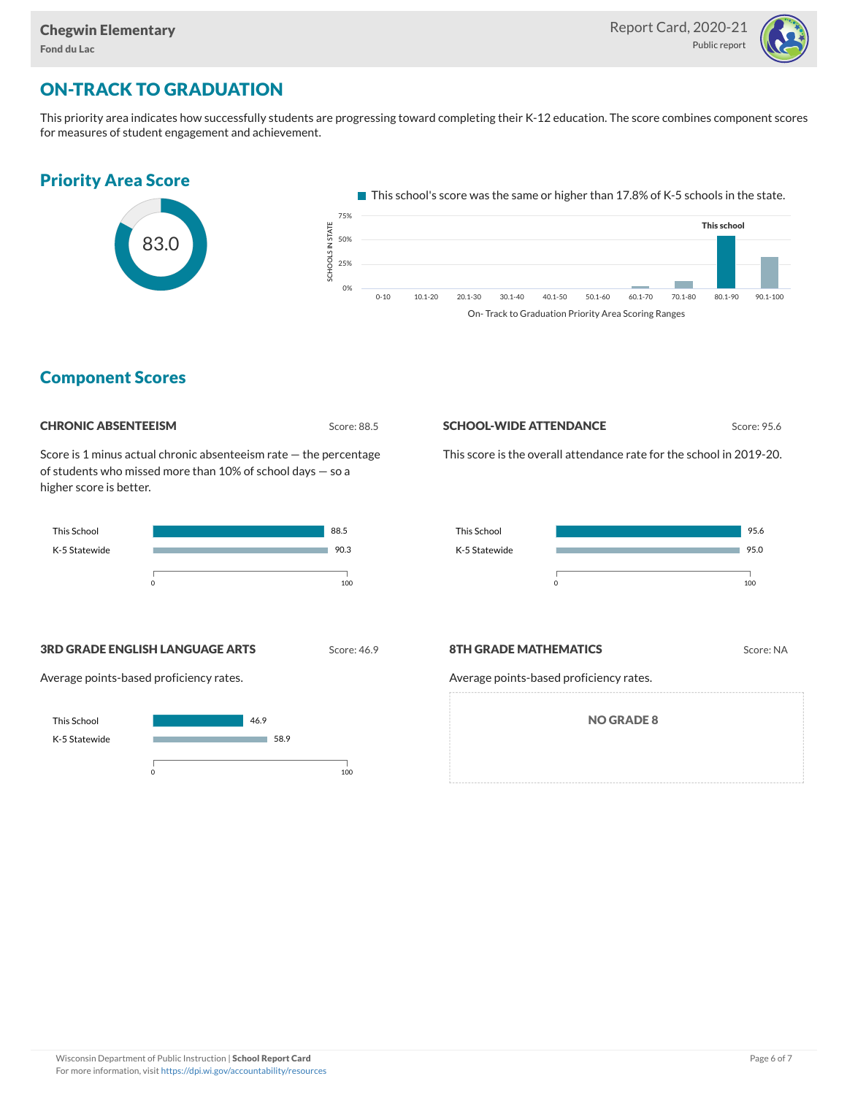

## ON-TRACK TO GRADUATION

This priority area indicates how successfully students are progressing toward completing their K-12 education. The score combines component scores for measures of student engagement and achievement.

#### Priority Area Score



This school's score was the same or higher than 17.8% of K-5 schools in the state.



#### Component Scores

| <b>CHRONIC ABSENTEEISM</b> |
|----------------------------|
|                            |

Score: 88.5

Score is 1 minus actual chronic absenteeism rate — the percentage of students who missed more than 10% of school days — so a higher score is better.



#### **SCHOOL-WIDE ATTENDANCE** Score: 95.6

This score is the overall attendance rate for the school in 2019-20.



**3RD GRADE ENGLISH LANGUAGE ARTS** Score: 46.9

Average points-based proficiency rates.



#### **8TH GRADE MATHEMATICS** Score: NA

Average points-based proficiency rates.

NO GRADE 8